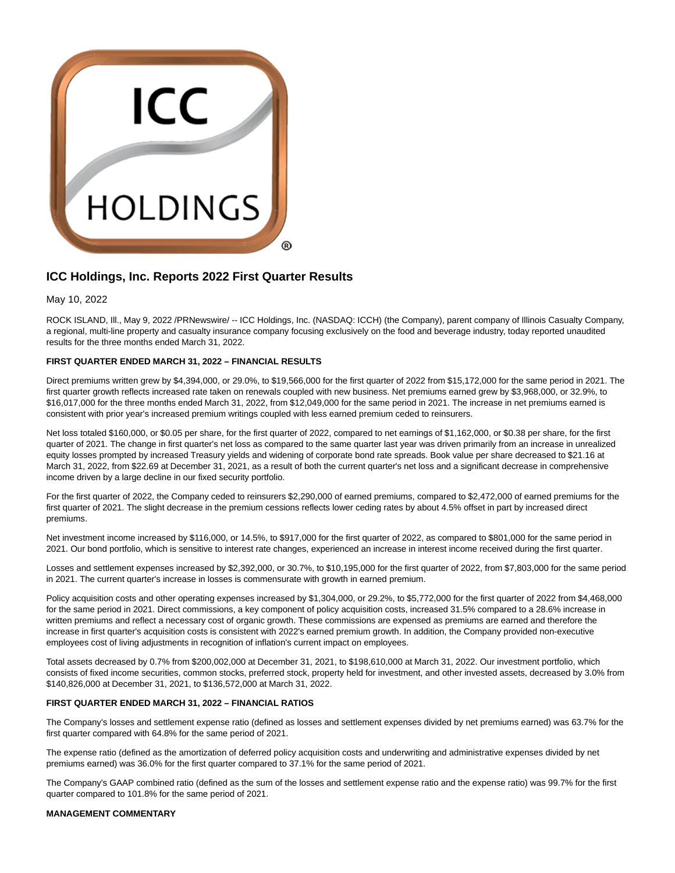

# **ICC Holdings, Inc. Reports 2022 First Quarter Results**

May 10, 2022

ROCK ISLAND, Ill., May 9, 2022 /PRNewswire/ -- ICC Holdings, Inc. (NASDAQ: ICCH) (the Company), parent company of Illinois Casualty Company, a regional, multi-line property and casualty insurance company focusing exclusively on the food and beverage industry, today reported unaudited results for the three months ended March 31, 2022.

## **FIRST QUARTER ENDED MARCH 31, 2022 – FINANCIAL RESULTS**

Direct premiums written grew by \$4,394,000, or 29.0%, to \$19,566,000 for the first quarter of 2022 from \$15,172,000 for the same period in 2021. The first quarter growth reflects increased rate taken on renewals coupled with new business. Net premiums earned grew by \$3,968,000, or 32.9%, to \$16,017,000 for the three months ended March 31, 2022, from \$12,049,000 for the same period in 2021. The increase in net premiums earned is consistent with prior year's increased premium writings coupled with less earned premium ceded to reinsurers.

Net loss totaled \$160,000, or \$0.05 per share, for the first quarter of 2022, compared to net earnings of \$1,162,000, or \$0.38 per share, for the first quarter of 2021. The change in first quarter's net loss as compared to the same quarter last year was driven primarily from an increase in unrealized equity losses prompted by increased Treasury yields and widening of corporate bond rate spreads. Book value per share decreased to \$21.16 at March 31, 2022, from \$22.69 at December 31, 2021, as a result of both the current quarter's net loss and a significant decrease in comprehensive income driven by a large decline in our fixed security portfolio.

For the first quarter of 2022, the Company ceded to reinsurers \$2,290,000 of earned premiums, compared to \$2,472,000 of earned premiums for the first quarter of 2021. The slight decrease in the premium cessions reflects lower ceding rates by about 4.5% offset in part by increased direct premiums.

Net investment income increased by \$116,000, or 14.5%, to \$917,000 for the first quarter of 2022, as compared to \$801,000 for the same period in 2021. Our bond portfolio, which is sensitive to interest rate changes, experienced an increase in interest income received during the first quarter.

Losses and settlement expenses increased by \$2,392,000, or 30.7%, to \$10,195,000 for the first quarter of 2022, from \$7,803,000 for the same period in 2021. The current quarter's increase in losses is commensurate with growth in earned premium.

Policy acquisition costs and other operating expenses increased by \$1,304,000, or 29.2%, to \$5,772,000 for the first quarter of 2022 from \$4,468,000 for the same period in 2021. Direct commissions, a key component of policy acquisition costs, increased 31.5% compared to a 28.6% increase in written premiums and reflect a necessary cost of organic growth. These commissions are expensed as premiums are earned and therefore the increase in first quarter's acquisition costs is consistent with 2022's earned premium growth. In addition, the Company provided non-executive employees cost of living adjustments in recognition of inflation's current impact on employees.

Total assets decreased by 0.7% from \$200,002,000 at December 31, 2021, to \$198,610,000 at March 31, 2022. Our investment portfolio, which consists of fixed income securities, common stocks, preferred stock, property held for investment, and other invested assets, decreased by 3.0% from \$140,826,000 at December 31, 2021, to \$136,572,000 at March 31, 2022.

### **FIRST QUARTER ENDED MARCH 31, 2022 – FINANCIAL RATIOS**

The Company's losses and settlement expense ratio (defined as losses and settlement expenses divided by net premiums earned) was 63.7% for the first quarter compared with 64.8% for the same period of 2021.

The expense ratio (defined as the amortization of deferred policy acquisition costs and underwriting and administrative expenses divided by net premiums earned) was 36.0% for the first quarter compared to 37.1% for the same period of 2021.

The Company's GAAP combined ratio (defined as the sum of the losses and settlement expense ratio and the expense ratio) was 99.7% for the first quarter compared to 101.8% for the same period of 2021.

### **MANAGEMENT COMMENTARY**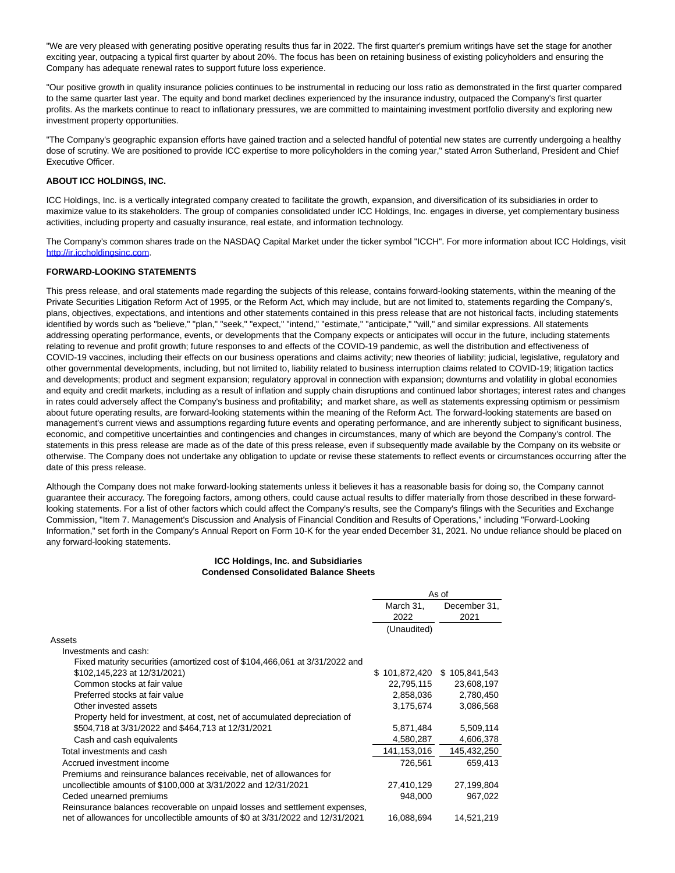"We are very pleased with generating positive operating results thus far in 2022. The first quarter's premium writings have set the stage for another exciting year, outpacing a typical first quarter by about 20%. The focus has been on retaining business of existing policyholders and ensuring the Company has adequate renewal rates to support future loss experience.

"Our positive growth in quality insurance policies continues to be instrumental in reducing our loss ratio as demonstrated in the first quarter compared to the same quarter last year. The equity and bond market declines experienced by the insurance industry, outpaced the Company's first quarter profits. As the markets continue to react to inflationary pressures, we are committed to maintaining investment portfolio diversity and exploring new investment property opportunities.

"The Company's geographic expansion efforts have gained traction and a selected handful of potential new states are currently undergoing a healthy dose of scrutiny. We are positioned to provide ICC expertise to more policyholders in the coming year," stated Arron Sutherland, President and Chief Executive Officer.

## **ABOUT ICC HOLDINGS, INC.**

ICC Holdings, Inc. is a vertically integrated company created to facilitate the growth, expansion, and diversification of its subsidiaries in order to maximize value to its stakeholders. The group of companies consolidated under ICC Holdings, Inc. engages in diverse, yet complementary business activities, including property and casualty insurance, real estate, and information technology.

The Company's common shares trade on the NASDAQ Capital Market under the ticker symbol "ICCH". For more information about ICC Holdings, visit [http://ir.iccholdingsinc.com.](https://c212.net/c/link/?t=0&l=en&o=3531276-1&h=2779911836&u=http%3A%2F%2Fir.iccholdingsinc.com%2F&a=http%3A%2F%2Fir.iccholdingsinc.com)

#### **FORWARD-LOOKING STATEMENTS**

This press release, and oral statements made regarding the subjects of this release, contains forward-looking statements, within the meaning of the Private Securities Litigation Reform Act of 1995, or the Reform Act, which may include, but are not limited to, statements regarding the Company's, plans, objectives, expectations, and intentions and other statements contained in this press release that are not historical facts, including statements identified by words such as "believe," "plan," "seek," "expect," "intend," "estimate," "anticipate," "will," and similar expressions. All statements addressing operating performance, events, or developments that the Company expects or anticipates will occur in the future, including statements relating to revenue and profit growth; future responses to and effects of the COVID-19 pandemic, as well the distribution and effectiveness of COVID-19 vaccines, including their effects on our business operations and claims activity; new theories of liability; judicial, legislative, regulatory and other governmental developments, including, but not limited to, liability related to business interruption claims related to COVID-19; litigation tactics and developments; product and segment expansion; regulatory approval in connection with expansion; downturns and volatility in global economies and equity and credit markets, including as a result of inflation and supply chain disruptions and continued labor shortages; interest rates and changes in rates could adversely affect the Company's business and profitability; and market share, as well as statements expressing optimism or pessimism about future operating results, are forward-looking statements within the meaning of the Reform Act. The forward-looking statements are based on management's current views and assumptions regarding future events and operating performance, and are inherently subject to significant business, economic, and competitive uncertainties and contingencies and changes in circumstances, many of which are beyond the Company's control. The statements in this press release are made as of the date of this press release, even if subsequently made available by the Company on its website or otherwise. The Company does not undertake any obligation to update or revise these statements to reflect events or circumstances occurring after the date of this press release.

Although the Company does not make forward-looking statements unless it believes it has a reasonable basis for doing so, the Company cannot guarantee their accuracy. The foregoing factors, among others, could cause actual results to differ materially from those described in these forwardlooking statements. For a list of other factors which could affect the Company's results, see the Company's filings with the Securities and Exchange Commission, "Item 7. Management's Discussion and Analysis of Financial Condition and Results of Operations," including "Forward-Looking Information," set forth in the Company's Annual Report on Form 10-K for the year ended December 31, 2021. No undue reliance should be placed on any forward-looking statements.

#### **ICC Holdings, Inc. and Subsidiaries Condensed Consolidated Balance Sheets**

|                                                                                | As of         |               |
|--------------------------------------------------------------------------------|---------------|---------------|
|                                                                                | March 31,     | December 31,  |
|                                                                                | 2022          | 2021          |
|                                                                                | (Unaudited)   |               |
| Assets                                                                         |               |               |
| Investments and cash:                                                          |               |               |
| Fixed maturity securities (amortized cost of \$104,466,061 at 3/31/2022 and    |               |               |
| \$102,145,223 at 12/31/2021)                                                   | \$101,872,420 | \$105,841,543 |
| Common stocks at fair value                                                    | 22,795,115    | 23,608,197    |
| Preferred stocks at fair value                                                 | 2,858,036     | 2,780,450     |
| Other invested assets                                                          | 3,175,674     | 3,086,568     |
| Property held for investment, at cost, net of accumulated depreciation of      |               |               |
| \$504,718 at 3/31/2022 and \$464,713 at 12/31/2021                             | 5,871,484     | 5,509,114     |
| Cash and cash equivalents                                                      | 4,580,287     | 4,606,378     |
| Total investments and cash                                                     | 141,153,016   | 145,432,250   |
| Accrued investment income                                                      | 726,561       | 659,413       |
| Premiums and reinsurance balances receivable, net of allowances for            |               |               |
| uncollectible amounts of \$100,000 at 3/31/2022 and 12/31/2021                 | 27,410,129    | 27,199,804    |
| Ceded unearned premiums                                                        | 948,000       | 967,022       |
| Reinsurance balances recoverable on unpaid losses and settlement expenses,     |               |               |
| net of allowances for uncollectible amounts of \$0 at 3/31/2022 and 12/31/2021 | 16,088,694    | 14,521,219    |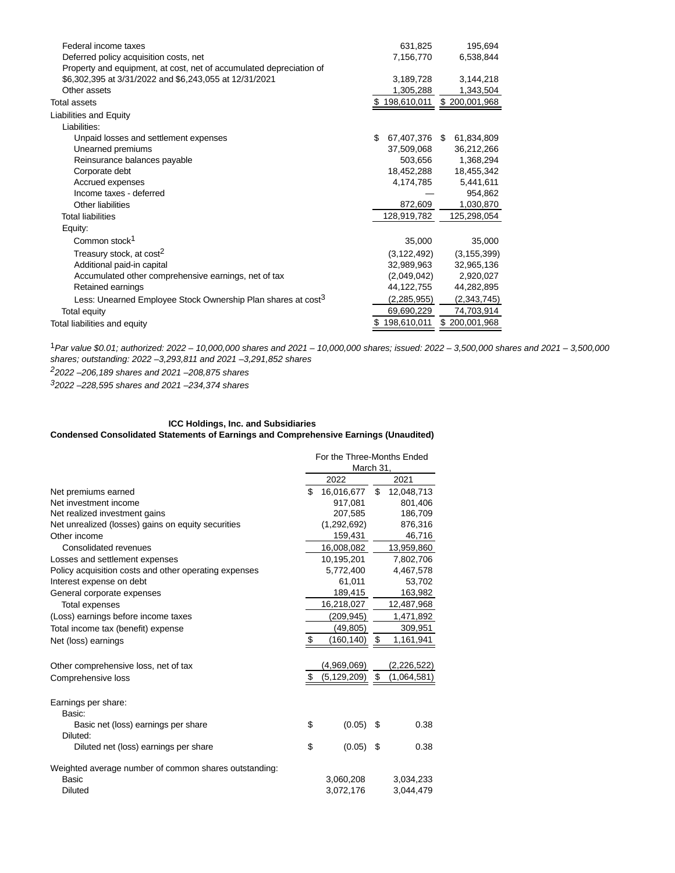| Federal income taxes                                                     | 631,825             | 195,694       |
|--------------------------------------------------------------------------|---------------------|---------------|
| Deferred policy acquisition costs, net                                   | 7,156,770           | 6,538,844     |
| Property and equipment, at cost, net of accumulated depreciation of      |                     |               |
| \$6,302,395 at 3/31/2022 and \$6,243,055 at 12/31/2021                   | 3,189,728           | 3,144,218     |
| Other assets                                                             | 1,305,288           | 1,343,504     |
| <b>Total assets</b>                                                      | 198,610,011         | \$200,001,968 |
| Liabilities and Equity                                                   |                     |               |
| Liabilities:                                                             |                     |               |
| Unpaid losses and settlement expenses                                    | \$<br>67,407,376 \$ | 61,834,809    |
| Unearned premiums                                                        | 37,509,068          | 36,212,266    |
| Reinsurance balances payable                                             | 503,656             | 1,368,294     |
| Corporate debt                                                           | 18,452,288          | 18,455,342    |
| Accrued expenses                                                         | 4,174,785           | 5,441,611     |
| Income taxes - deferred                                                  |                     | 954,862       |
| Other liabilities                                                        | 872,609             | 1,030,870     |
| <b>Total liabilities</b>                                                 | 128,919,782         | 125,298,054   |
| Equity:                                                                  |                     |               |
| Common stock <sup>1</sup>                                                | 35,000              | 35,000        |
| Treasury stock, at cost <sup>2</sup>                                     | (3, 122, 492)       | (3, 155, 399) |
| Additional paid-in capital                                               | 32,989,963          | 32,965,136    |
| Accumulated other comprehensive earnings, net of tax                     | (2,049,042)         | 2,920,027     |
| Retained earnings                                                        | 44,122,755          | 44,282,895    |
| Less: Unearned Employee Stock Ownership Plan shares at cost <sup>3</sup> | (2, 285, 955)       | (2,343,745)   |
| Total equity                                                             | 69,690,229          | 74,703,914    |
| Total liabilities and equity                                             | 198,610,011<br>\$   | \$200,001,968 |
|                                                                          |                     |               |

1Par value \$0.01; authorized: 2022 – 10,000,000 shares and 2021 – 10,000,000 shares; issued: 2022 – 3,500,000 shares and 2021 – 3,500,000 shares; outstanding: 2022 –3,293,811 and 2021 –3,291,852 shares 22022 –206,189 shares and 2021 –208,875 shares

32022 –228,595 shares and 2021 –234,374 shares

## **ICC Holdings, Inc. and Subsidiaries Condensed Consolidated Statements of Earnings and Comprehensive Earnings (Unaudited)**

|                                                       | For the Three-Months Ended |               |    |             |
|-------------------------------------------------------|----------------------------|---------------|----|-------------|
|                                                       |                            | March 31,     |    |             |
|                                                       |                            | 2022          |    | 2021        |
| Net premiums earned                                   | \$                         | 16,016,677    | \$ | 12,048,713  |
| Net investment income                                 |                            | 917,081       |    | 801,406     |
| Net realized investment gains                         |                            | 207,585       |    | 186,709     |
| Net unrealized (losses) gains on equity securities    |                            | (1,292,692)   |    | 876,316     |
| Other income                                          |                            | 159,431       |    | 46,716      |
| Consolidated revenues                                 |                            | 16,008,082    |    | 13,959,860  |
| Losses and settlement expenses                        |                            | 10,195,201    |    | 7,802,706   |
| Policy acquisition costs and other operating expenses |                            | 5,772,400     |    | 4,467,578   |
| Interest expense on debt                              |                            | 61,011        |    | 53,702      |
| General corporate expenses                            |                            | 189,415       |    | 163,982     |
| Total expenses                                        |                            | 16,218,027    |    | 12,487,968  |
| (Loss) earnings before income taxes                   |                            | (209, 945)    |    | 1,471,892   |
| Total income tax (benefit) expense                    |                            | (49, 805)     |    | 309,951     |
| Net (loss) earnings                                   | \$                         | (160,140)     | \$ | 1,161,941   |
|                                                       |                            |               |    |             |
| Other comprehensive loss, net of tax                  |                            | (4,969,069)   |    | (2,226,522) |
| Comprehensive loss                                    | \$                         | (5, 129, 209) | \$ | (1,064,581) |
|                                                       |                            |               |    |             |
| Earnings per share:                                   |                            |               |    |             |
| Basic:                                                |                            |               |    |             |
| Basic net (loss) earnings per share                   | \$                         | (0.05)        | S  | 0.38        |
| Diluted:                                              |                            |               |    |             |
| Diluted net (loss) earnings per share                 | \$                         | (0.05)        | \$ | 0.38        |
| Weighted average number of common shares outstanding: |                            |               |    |             |
| Basic                                                 |                            | 3,060,208     |    | 3,034,233   |
| <b>Diluted</b>                                        |                            | 3,072,176     |    | 3,044,479   |